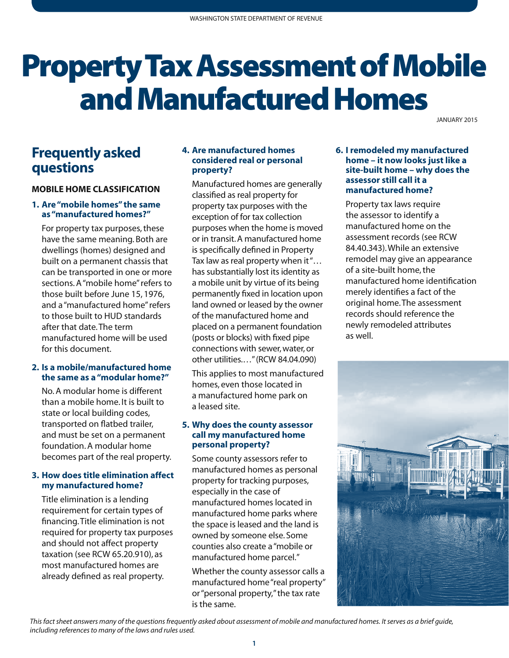# Property Tax Assessment of Mobile and Manufactured Homes

JANUARY 2015

# **Frequently asked questions**

#### **MOBILE HOME CLASSIFICATION**

#### **1. Are "mobile homes" the same as "manufactured homes?"**

For property tax purposes, these have the same meaning. Both are dwellings (homes) designed and built on a permanent chassis that can be transported in one or more sections. A "mobile home" refers to those built before June 15, 1976, and a "manufactured home" refers to those built to HUD standards after that date. The term manufactured home will be used for this document.

#### **2. Is a mobile/manufactured home the same as a "modular home?"**

 transported on flatbed trailer, No. A modular home is different than a mobile home. It is built to state or local building codes, and must be set on a permanent foundation. A modular home becomes part of the real property.

#### **3. How does title elimination affect my manufactured home?**

Title elimination is a lending requirement for certain types of financing. Title elimination is not required for property tax purposes and should not affect property taxation (see RCW 65.20.910), as most manufactured homes are already defined as real property.

#### **4. Are manufactured homes considered real or personal property?**

Manufactured homes are generally classified as real property for property tax purposes with the exception of for tax collection purposes when the home is moved or in transit. A manufactured home is specifically defined in Property Tax law as real property when it "… has substantially lost its identity as a mobile unit by virtue of its being permanently fixed in location upon land owned or leased by the owner of the manufactured home and placed on a permanent foundation (posts or blocks) with fixed pipe connections with sewer, water, or other utilities.…" (RCW 84.04.090)

This applies to most manufactured homes, even those located in a manufactured home park on a leased site.

#### **5. Why does the county assessor call my manufactured home personal property?**

Some county assessors refer to manufactured homes as personal property for tracking purposes, especially in the case of manufactured homes located in manufactured home parks where the space is leased and the land is owned by someone else. Some counties also create a "mobile or manufactured home parcel."

Whether the county assessor calls a manufactured home "real property" or "personal property," the tax rate is the same.

#### **6. I remodeled my manufactured home – it now looks just like a site-built home – why does the assessor still call it a manufactured home?**

Property tax laws require the assessor to identify a manufactured home on the assessment records (see RCW 84.40.343). While an extensive remodel may give an appearance of a site-built home, the manufactured home identification merely identifies a fact of the original home. The assessment records should reference the newly remodeled attributes as well.



*This fact sheet answers many of the questions frequently asked about assessment of mobile and manufactured homes. It serves as a brief guide, including references to many of the laws and rules used.*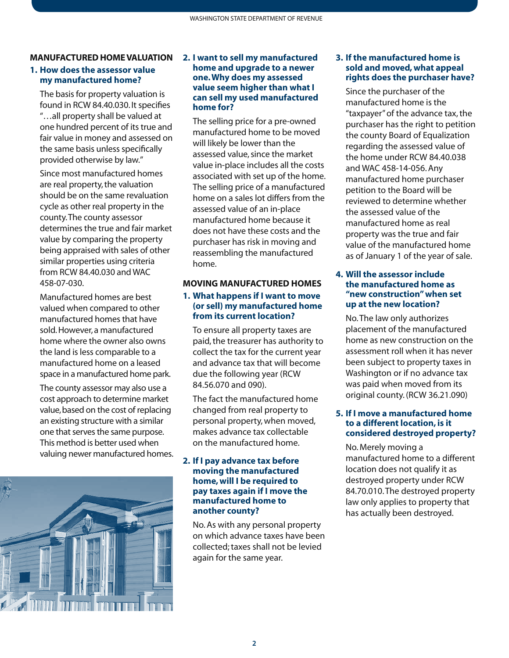# **MANUFACTURED HOME VALUATION**

#### **1. How does the assessor value my manufactured home?**

The basis for property valuation is found in RCW 84.40.030. It specifies "…all property shall be valued at one hundred percent of its true and fair value in money and assessed on the same basis unless specifically provided otherwise by law."

Since most manufactured homes are real property, the valuation should be on the same revaluation cycle as other real property in the county. The county assessor determines the true and fair market value by comparing the property being appraised with sales of other similar properties using criteria from RCW 84.40.030 and WAC 458-07-030.

Manufactured homes are best valued when compared to other manufactured homes that have sold. However, a manufactured home where the owner also owns the land is less comparable to a manufactured home on a leased space in a manufactured home park.

The county assessor may also use a cost approach to determine market value, based on the cost of replacing an existing structure with a similar one that serves the same purpose. This method is better used when valuing newer manufactured homes.



#### **2. I want to sell my manufactured home and upgrade to a newer one. Why does my assessed value seem higher than what I can sell my used manufactured home for?**

The selling price for a pre-owned manufactured home to be moved will likely be lower than the assessed value, since the market value in-place includes all the costs associated with set up of the home. The selling price of a manufactured home on a sales lot differs from the assessed value of an in-place manufactured home because it does not have these costs and the purchaser has risk in moving and reassembling the manufactured home.

### **MOVING MANUFACTURED HOMES**

#### **1. What happens if I want to move (or sell) my manufactured home from its current location?**

To ensure all property taxes are paid, the treasurer has authority to collect the tax for the current year and advance tax that will become due the following year (RCW 84.56.070 and 090).

The fact the manufactured home changed from real property to personal property, when moved, makes advance tax collectable on the manufactured home.

#### **2. If I pay advance tax before moving the manufactured home, will I be required to pay taxes again if I move the manufactured home to another county?**

No. As with any personal property on which advance taxes have been collected; taxes shall not be levied again for the same year.

#### **3. If the manufactured home is sold and moved, what appeal rights does the purchaser have?**

Since the purchaser of the manufactured home is the "taxpayer" of the advance tax, the purchaser has the right to petition the county Board of Equalization regarding the assessed value of the home under RCW 84.40.038 and WAC 458-14-056. Any manufactured home purchaser petition to the Board will be reviewed to determine whether the assessed value of the manufactured home as real property was the true and fair value of the manufactured home as of January 1 of the year of sale.

#### **4. Will the assessor include the manufactured home as "new construction" when set up at the new location?**

No. The law only authorizes placement of the manufactured home as new construction on the assessment roll when it has never been subject to property taxes in Washington or if no advance tax was paid when moved from its original county. (RCW 36.21.090)

#### **5. If I move a manufactured home to a different location, is it considered destroyed property?**

No. Merely moving a manufactured home to a different location does not qualify it as destroyed property under RCW 84.70.010. The destroyed property law only applies to property that has actually been destroyed.